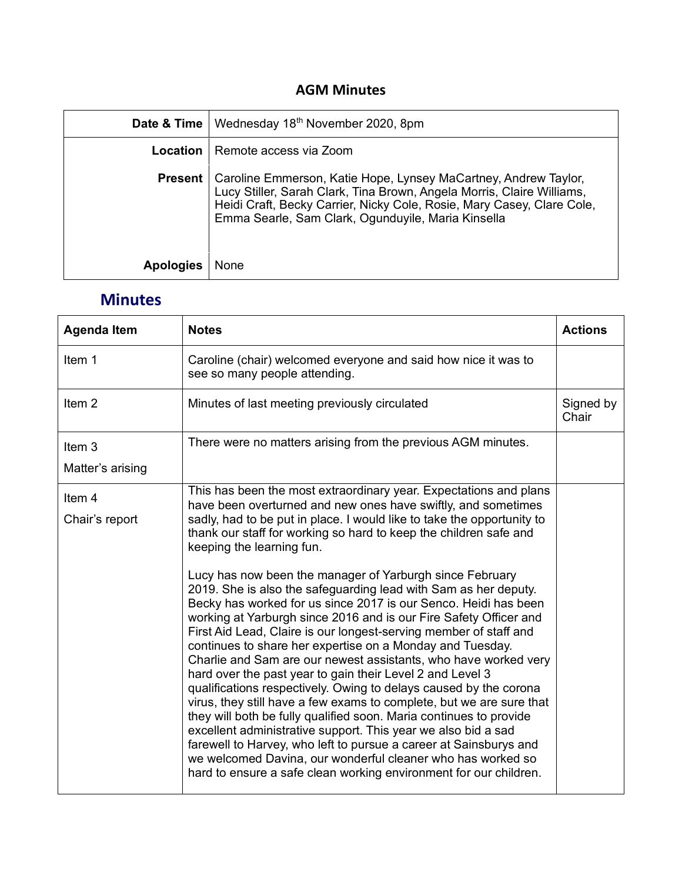## **AGM Minutes**

|                  | <b>Date &amp; Time</b>   Wednesday 18 <sup>th</sup> November 2020, 8pm                                                                                                                                                                                                                     |
|------------------|--------------------------------------------------------------------------------------------------------------------------------------------------------------------------------------------------------------------------------------------------------------------------------------------|
|                  | <b>Location</b>   Remote access via Zoom                                                                                                                                                                                                                                                   |
|                  | <b>Present</b>   Caroline Emmerson, Katie Hope, Lynsey MaCartney, Andrew Taylor,<br>Lucy Stiller, Sarah Clark, Tina Brown, Angela Morris, Claire Williams,<br>Heidi Craft, Becky Carrier, Nicky Cole, Rosie, Mary Casey, Clare Cole,<br>Emma Searle, Sam Clark, Ogunduyile, Maria Kinsella |
| <b>Apologies</b> | None                                                                                                                                                                                                                                                                                       |

## **Minutes**

| <b>Agenda Item</b> | <b>Notes</b>                                                                                                                                                                                                                                                                                                                                                                                                                                                                                                                                                                                                                                                                                                                                                                                                                                                                                                                                                                                                                       | <b>Actions</b>     |
|--------------------|------------------------------------------------------------------------------------------------------------------------------------------------------------------------------------------------------------------------------------------------------------------------------------------------------------------------------------------------------------------------------------------------------------------------------------------------------------------------------------------------------------------------------------------------------------------------------------------------------------------------------------------------------------------------------------------------------------------------------------------------------------------------------------------------------------------------------------------------------------------------------------------------------------------------------------------------------------------------------------------------------------------------------------|--------------------|
| Item 1             | Caroline (chair) welcomed everyone and said how nice it was to<br>see so many people attending.                                                                                                                                                                                                                                                                                                                                                                                                                                                                                                                                                                                                                                                                                                                                                                                                                                                                                                                                    |                    |
| Item <sub>2</sub>  | Minutes of last meeting previously circulated                                                                                                                                                                                                                                                                                                                                                                                                                                                                                                                                                                                                                                                                                                                                                                                                                                                                                                                                                                                      | Signed by<br>Chair |
| Item <sub>3</sub>  | There were no matters arising from the previous AGM minutes.                                                                                                                                                                                                                                                                                                                                                                                                                                                                                                                                                                                                                                                                                                                                                                                                                                                                                                                                                                       |                    |
| Matter's arising   |                                                                                                                                                                                                                                                                                                                                                                                                                                                                                                                                                                                                                                                                                                                                                                                                                                                                                                                                                                                                                                    |                    |
| Item 4             | This has been the most extraordinary year. Expectations and plans<br>have been overturned and new ones have swiftly, and sometimes                                                                                                                                                                                                                                                                                                                                                                                                                                                                                                                                                                                                                                                                                                                                                                                                                                                                                                 |                    |
| Chair's report     | sadly, had to be put in place. I would like to take the opportunity to<br>thank our staff for working so hard to keep the children safe and<br>keeping the learning fun.                                                                                                                                                                                                                                                                                                                                                                                                                                                                                                                                                                                                                                                                                                                                                                                                                                                           |                    |
|                    | Lucy has now been the manager of Yarburgh since February<br>2019. She is also the safeguarding lead with Sam as her deputy.<br>Becky has worked for us since 2017 is our Senco. Heidi has been<br>working at Yarburgh since 2016 and is our Fire Safety Officer and<br>First Aid Lead, Claire is our longest-serving member of staff and<br>continues to share her expertise on a Monday and Tuesday.<br>Charlie and Sam are our newest assistants, who have worked very<br>hard over the past year to gain their Level 2 and Level 3<br>qualifications respectively. Owing to delays caused by the corona<br>virus, they still have a few exams to complete, but we are sure that<br>they will both be fully qualified soon. Maria continues to provide<br>excellent administrative support. This year we also bid a sad<br>farewell to Harvey, who left to pursue a career at Sainsburys and<br>we welcomed Davina, our wonderful cleaner who has worked so<br>hard to ensure a safe clean working environment for our children. |                    |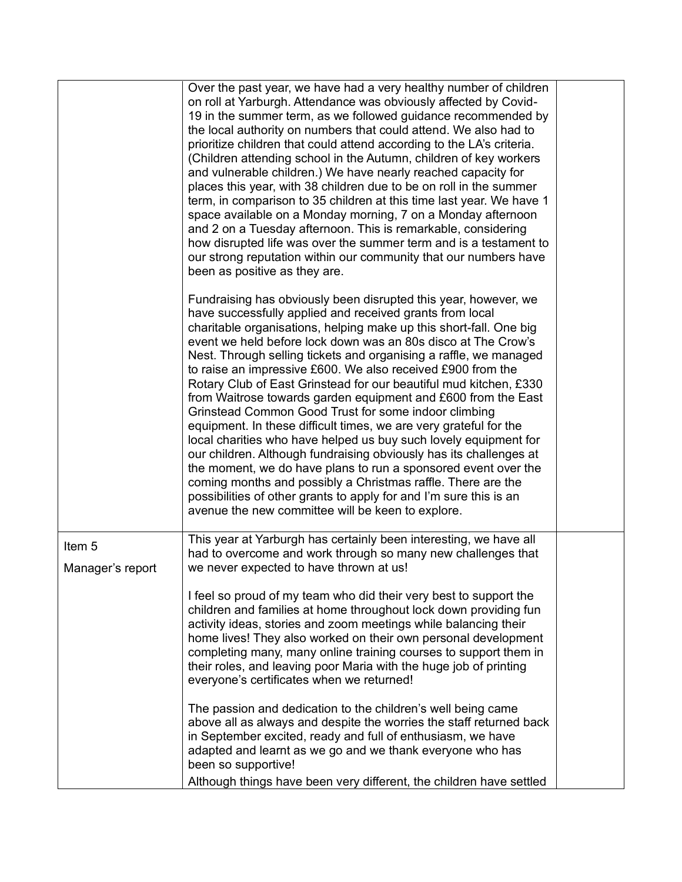|                                       | Over the past year, we have had a very healthy number of children<br>on roll at Yarburgh. Attendance was obviously affected by Covid-<br>19 in the summer term, as we followed guidance recommended by<br>the local authority on numbers that could attend. We also had to<br>prioritize children that could attend according to the LA's criteria.<br>(Children attending school in the Autumn, children of key workers<br>and vulnerable children.) We have nearly reached capacity for<br>places this year, with 38 children due to be on roll in the summer<br>term, in comparison to 35 children at this time last year. We have 1<br>space available on a Monday morning, 7 on a Monday afternoon<br>and 2 on a Tuesday afternoon. This is remarkable, considering<br>how disrupted life was over the summer term and is a testament to<br>our strong reputation within our community that our numbers have<br>been as positive as they are.                                                                                                                               |  |
|---------------------------------------|----------------------------------------------------------------------------------------------------------------------------------------------------------------------------------------------------------------------------------------------------------------------------------------------------------------------------------------------------------------------------------------------------------------------------------------------------------------------------------------------------------------------------------------------------------------------------------------------------------------------------------------------------------------------------------------------------------------------------------------------------------------------------------------------------------------------------------------------------------------------------------------------------------------------------------------------------------------------------------------------------------------------------------------------------------------------------------|--|
|                                       | Fundraising has obviously been disrupted this year, however, we<br>have successfully applied and received grants from local<br>charitable organisations, helping make up this short-fall. One big<br>event we held before lock down was an 80s disco at The Crow's<br>Nest. Through selling tickets and organising a raffle, we managed<br>to raise an impressive £600. We also received £900 from the<br>Rotary Club of East Grinstead for our beautiful mud kitchen, £330<br>from Waitrose towards garden equipment and £600 from the East<br>Grinstead Common Good Trust for some indoor climbing<br>equipment. In these difficult times, we are very grateful for the<br>local charities who have helped us buy such lovely equipment for<br>our children. Although fundraising obviously has its challenges at<br>the moment, we do have plans to run a sponsored event over the<br>coming months and possibly a Christmas raffle. There are the<br>possibilities of other grants to apply for and I'm sure this is an<br>avenue the new committee will be keen to explore. |  |
| Item <sub>5</sub><br>Manager's report | This year at Yarburgh has certainly been interesting, we have all<br>had to overcome and work through so many new challenges that<br>we never expected to have thrown at us!                                                                                                                                                                                                                                                                                                                                                                                                                                                                                                                                                                                                                                                                                                                                                                                                                                                                                                     |  |
|                                       | I feel so proud of my team who did their very best to support the<br>children and families at home throughout lock down providing fun<br>activity ideas, stories and zoom meetings while balancing their<br>home lives! They also worked on their own personal development<br>completing many, many online training courses to support them in<br>their roles, and leaving poor Maria with the huge job of printing<br>everyone's certificates when we returned!                                                                                                                                                                                                                                                                                                                                                                                                                                                                                                                                                                                                                 |  |
|                                       | The passion and dedication to the children's well being came<br>above all as always and despite the worries the staff returned back<br>in September excited, ready and full of enthusiasm, we have<br>adapted and learnt as we go and we thank everyone who has<br>been so supportive!<br>Although things have been very different, the children have settled                                                                                                                                                                                                                                                                                                                                                                                                                                                                                                                                                                                                                                                                                                                    |  |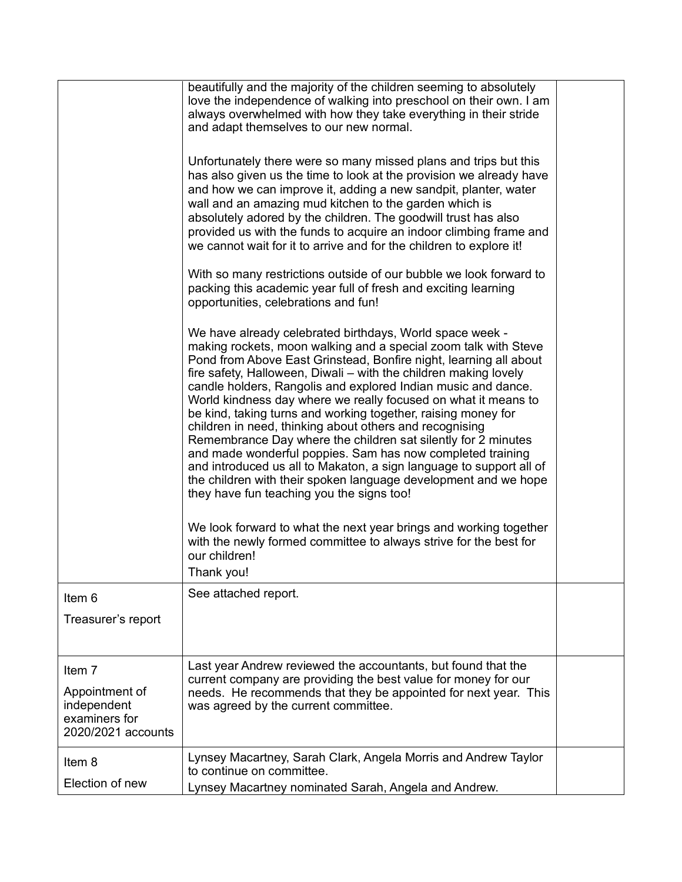|                                                                                | beautifully and the majority of the children seeming to absolutely<br>love the independence of walking into preschool on their own. I am<br>always overwhelmed with how they take everything in their stride<br>and adapt themselves to our new normal.                                                                                                                                                                                                                                                                                                                                                                                                                                                                                                                                                                                                                                                                                                                                                              |  |
|--------------------------------------------------------------------------------|----------------------------------------------------------------------------------------------------------------------------------------------------------------------------------------------------------------------------------------------------------------------------------------------------------------------------------------------------------------------------------------------------------------------------------------------------------------------------------------------------------------------------------------------------------------------------------------------------------------------------------------------------------------------------------------------------------------------------------------------------------------------------------------------------------------------------------------------------------------------------------------------------------------------------------------------------------------------------------------------------------------------|--|
|                                                                                | Unfortunately there were so many missed plans and trips but this<br>has also given us the time to look at the provision we already have<br>and how we can improve it, adding a new sandpit, planter, water<br>wall and an amazing mud kitchen to the garden which is<br>absolutely adored by the children. The goodwill trust has also<br>provided us with the funds to acquire an indoor climbing frame and<br>we cannot wait for it to arrive and for the children to explore it!                                                                                                                                                                                                                                                                                                                                                                                                                                                                                                                                  |  |
|                                                                                | With so many restrictions outside of our bubble we look forward to<br>packing this academic year full of fresh and exciting learning<br>opportunities, celebrations and fun!                                                                                                                                                                                                                                                                                                                                                                                                                                                                                                                                                                                                                                                                                                                                                                                                                                         |  |
|                                                                                | We have already celebrated birthdays, World space week -<br>making rockets, moon walking and a special zoom talk with Steve<br>Pond from Above East Grinstead, Bonfire night, learning all about<br>fire safety, Halloween, Diwali – with the children making lovely<br>candle holders, Rangolis and explored Indian music and dance.<br>World kindness day where we really focused on what it means to<br>be kind, taking turns and working together, raising money for<br>children in need, thinking about others and recognising<br>Remembrance Day where the children sat silently for 2 minutes<br>and made wonderful poppies. Sam has now completed training<br>and introduced us all to Makaton, a sign language to support all of<br>the children with their spoken language development and we hope<br>they have fun teaching you the signs too!<br>We look forward to what the next year brings and working together<br>with the newly formed committee to always strive for the best for<br>our children! |  |
|                                                                                | Thank you!<br>See attached report.                                                                                                                                                                                                                                                                                                                                                                                                                                                                                                                                                                                                                                                                                                                                                                                                                                                                                                                                                                                   |  |
| Item 6<br>Treasurer's report                                                   |                                                                                                                                                                                                                                                                                                                                                                                                                                                                                                                                                                                                                                                                                                                                                                                                                                                                                                                                                                                                                      |  |
| Item 7<br>Appointment of<br>independent<br>examiners for<br>2020/2021 accounts | Last year Andrew reviewed the accountants, but found that the<br>current company are providing the best value for money for our<br>needs. He recommends that they be appointed for next year. This<br>was agreed by the current committee.                                                                                                                                                                                                                                                                                                                                                                                                                                                                                                                                                                                                                                                                                                                                                                           |  |
| Item 8<br>Election of new                                                      | Lynsey Macartney, Sarah Clark, Angela Morris and Andrew Taylor<br>to continue on committee.<br>Lynsey Macartney nominated Sarah, Angela and Andrew.                                                                                                                                                                                                                                                                                                                                                                                                                                                                                                                                                                                                                                                                                                                                                                                                                                                                  |  |
|                                                                                |                                                                                                                                                                                                                                                                                                                                                                                                                                                                                                                                                                                                                                                                                                                                                                                                                                                                                                                                                                                                                      |  |